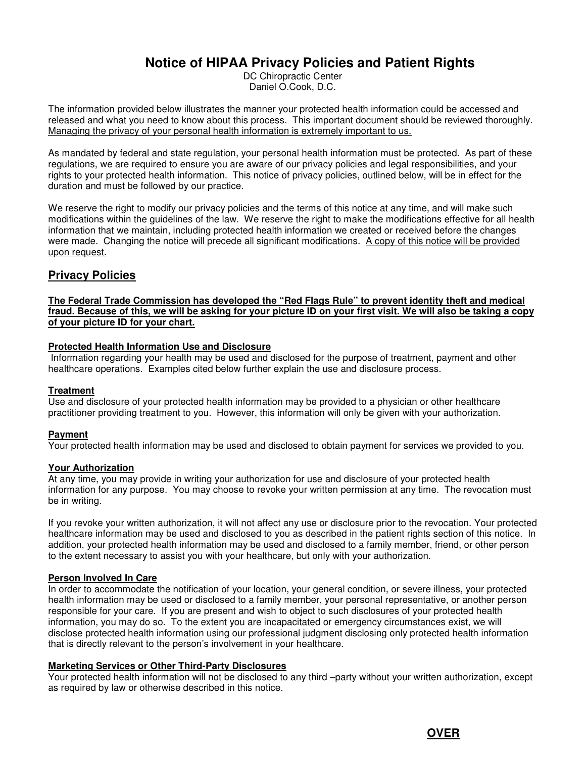# **Notice of HIPAA Privacy Policies and Patient Rights**

DC Chiropractic Center Daniel O.Cook, D.C.

The information provided below illustrates the manner your protected health information could be accessed and released and what you need to know about this process. This important document should be reviewed thoroughly. Managing the privacy of your personal health information is extremely important to us.

As mandated by federal and state regulation, your personal health information must be protected. As part of these regulations, we are required to ensure you are aware of our privacy policies and legal responsibilities, and your rights to your protected health information. This notice of privacy policies, outlined below, will be in effect for the duration and must be followed by our practice.

We reserve the right to modify our privacy policies and the terms of this notice at any time, and will make such modifications within the guidelines of the law. We reserve the right to make the modifications effective for all health information that we maintain, including protected health information we created or received before the changes were made. Changing the notice will precede all significant modifications. A copy of this notice will be provided upon request.

# **Privacy Policies**

#### **The Federal Trade Commission has developed the "Red Flags Rule" to prevent identity theft and medical fraud. Because of this, we will be asking for your picture ID on your first visit. We will also be taking a copy of your picture ID for your chart.**

# **Protected Health Information Use and Disclosure**

Information regarding your health may be used and disclosed for the purpose of treatment, payment and other healthcare operations. Examples cited below further explain the use and disclosure process.

#### **Treatment**

Use and disclosure of your protected health information may be provided to a physician or other healthcare practitioner providing treatment to you. However, this information will only be given with your authorization.

# **Payment**

Your protected health information may be used and disclosed to obtain payment for services we provided to you.

#### **Your Authorization**

At any time, you may provide in writing your authorization for use and disclosure of your protected health information for any purpose. You may choose to revoke your written permission at any time. The revocation must be in writing.

If you revoke your written authorization, it will not affect any use or disclosure prior to the revocation. Your protected healthcare information may be used and disclosed to you as described in the patient rights section of this notice. In addition, your protected health information may be used and disclosed to a family member, friend, or other person to the extent necessary to assist you with your healthcare, but only with your authorization.

#### **Person Involved In Care**

In order to accommodate the notification of your location, your general condition, or severe illness, your protected health information may be used or disclosed to a family member, your personal representative, or another person responsible for your care. If you are present and wish to object to such disclosures of your protected health information, you may do so. To the extent you are incapacitated or emergency circumstances exist, we will disclose protected health information using our professional judgment disclosing only protected health information that is directly relevant to the person's involvement in your healthcare.

# **Marketing Services or Other Third-Party Disclosures**

Your protected health information will not be disclosed to any third –party without your written authorization, except as required by law or otherwise described in this notice.